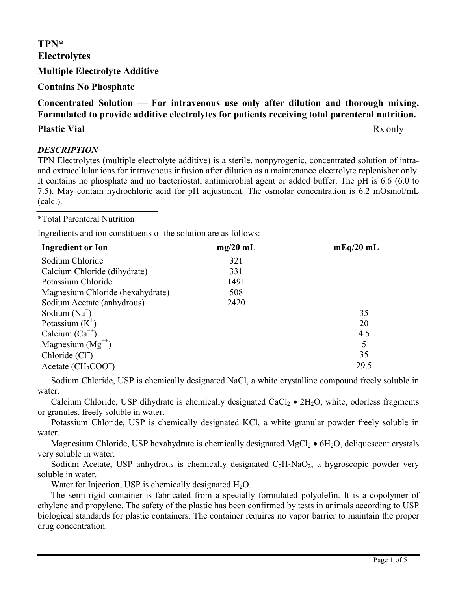# **TPN\* Electrolytes Multiple Electrolyte Additive**

**Contains No Phosphate**

# Concentrated Solution — For intravenous use only after dilution and thorough mixing. **Formulated to provide additive electrolytes for patients receiving total parenteral nutrition.**

# **Plastic Vial** Rx only

# *DESCRIPTION*

TPN Electrolytes (multiple electrolyte additive) is a sterile, nonpyrogenic, concentrated solution of intraand extracellular ions for intravenous infusion after dilution as a maintenance electrolyte replenisher only. It contains no phosphate and no bacteriostat, antimicrobial agent or added buffer. The pH is 6.6 (6.0 to 7.5). May contain hydrochloric acid for pH adjustment. The osmolar concentration is 6.2 mOsmol/mL (calc.).

# \*Total Parenteral Nutrition

Ingredients and ion constituents of the solution are as follows:

| <b>Ingredient or Ion</b>         | $mg/20$ mL | $mEq/20$ mL |
|----------------------------------|------------|-------------|
| Sodium Chloride                  | 321        |             |
| Calcium Chloride (dihydrate)     | 331        |             |
| Potassium Chloride               | 1491       |             |
| Magnesium Chloride (hexahydrate) | 508        |             |
| Sodium Acetate (anhydrous)       | 2420       |             |
| Sodium $(Na^+)$                  |            | 35          |
| Potassium $(K^+)$                |            | 20          |
| Calcium $(Ca^{+})$               |            | 4.5         |
| Magnesium $(Mg^{++})$            |            | 5           |
| Chloride (Cl <sup>-</sup> )      |            | 35          |
| Acetate $(CH_3COO^-$             |            | 29.5        |

Sodium Chloride, USP is chemically designated NaCl, a white crystalline compound freely soluble in water.

Calcium Chloride, USP dihydrate is chemically designated  $CaCl<sub>2</sub> \bullet 2H<sub>2</sub>O$ , white, odorless fragments or granules, freely soluble in water.

Potassium Chloride, USP is chemically designated KCl, a white granular powder freely soluble in water

Magnesium Chloride, USP hexahydrate is chemically designated  $MgCl<sub>2</sub> \bullet 6H<sub>2</sub>O$ , deliquescent crystals very soluble in water.

Sodium Acetate, USP anhydrous is chemically designated  $C_2H_3NaO_2$ , a hygroscopic powder very soluble in water.

Water for Injection, USP is chemically designated  $H_2O$ .

The semi-rigid container is fabricated from a specially formulated polyolefin. It is a copolymer of ethylene and propylene. The safety of the plastic has been confirmed by tests in animals according to USP biological standards for plastic containers. The container requires no vapor barrier to maintain the proper drug concentration.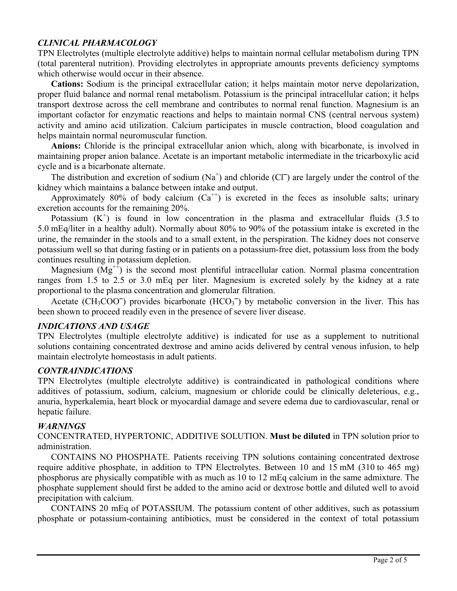## *CLINICAL PHARMACOLOGY*

TPN Electrolytes (multiple electrolyte additive) helps to maintain normal cellular metabolism during TPN (total parenteral nutrition). Providing electrolytes in appropriate amounts prevents deficiency symptoms which otherwise would occur in their absence.

**Cations:** Sodium is the principal extracellular cation; it helps maintain motor nerve depolarization, proper fluid balance and normal renal metabolism. Potassium is the principal intracellular cation; it helps transport dextrose across the cell membrane and contributes to normal renal function. Magnesium is an important cofactor for enzymatic reactions and helps to maintain normal CNS (central nervous system) activity and amino acid utilization. Calcium participates in muscle contraction, blood coagulation and helps maintain normal neuromuscular function.

**Anions:** Chloride is the principal extracellular anion which, along with bicarbonate, is involved in maintaining proper anion balance. Acetate is an important metabolic intermediate in the tricarboxylic acid cycle and is a bicarbonate alternate.

The distribution and excretion of sodium  $(Na^+)$  and chloride  $(CI^-)$  are largely under the control of the kidney which maintains a balance between intake and output.

Approximately 80% of body calcium  $(Ca^{++})$  is excreted in the feces as insoluble salts; urinary excretion accounts for the remaining 20%.

Potassium  $(K^+)$  is found in low concentration in the plasma and extracellular fluids (3.5 to 5.0 mEq/liter in a healthy adult). Normally about 80% to 90% of the potassium intake is excreted in the urine, the remainder in the stools and to a small extent, in the perspiration. The kidney does not conserve potassium well so that during fasting or in patients on a potassium-free diet, potassium loss from the body continues resulting in potassium depletion.

Magnesium  $(Mg<sup>+</sup>)$  is the second most plentiful intracellular cation. Normal plasma concentration ranges from 1.5 to 2.5 or 3.0 mEq per liter. Magnesium is excreted solely by the kidney at a rate proportional to the plasma concentration and glomerular filtration.

Acetate (CH<sub>3</sub>COO<sup>-</sup>) provides bicarbonate (HCO<sub>3</sub><sup>-</sup>) by metabolic conversion in the liver. This has been shown to proceed readily even in the presence of severe liver disease.

#### *INDICATIONS AND USAGE*

TPN Electrolytes (multiple electrolyte additive) is indicated for use as a supplement to nutritional solutions containing concentrated dextrose and amino acids delivered by central venous infusion, to help maintain electrolyte homeostasis in adult patients.

### *CONTRAINDICATIONS*

TPN Electrolytes (multiple electrolyte additive) is contraindicated in pathological conditions where additives of potassium, sodium, calcium, magnesium or chloride could be clinically deleterious, e.g., anuria, hyperkalemia, heart block or myocardial damage and severe edema due to cardiovascular, renal or hepatic failure.

#### *WARNINGS*

CONCENTRATED, HYPERTONIC, ADDITIVE SOLUTION. **Must be diluted** in TPN solution prior to administration.

CONTAINS NO PHOSPHATE. Patients receiving TPN solutions containing concentrated dextrose require additive phosphate, in addition to TPN Electrolytes. Between 10 and 15 mM (310 to 465 mg) phosphorus are physically compatible with as much as 10 to 12 mEq calcium in the same admixture. The phosphate supplement should first be added to the amino acid or dextrose bottle and diluted well to avoid precipitation with calcium.

CONTAINS 20 mEq of POTASSIUM. The potassium content of other additives, such as potassium phosphate or potassium-containing antibiotics, must be considered in the context of total potassium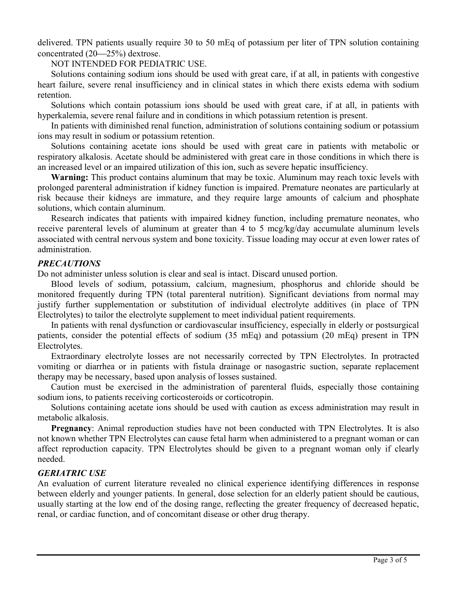delivered. TPN patients usually require 30 to 50 mEq of potassium per liter of TPN solution containing concentrated  $(20-25%)$  dextrose.

#### NOT INTENDED FOR PEDIATRIC USE.

Solutions containing sodium ions should be used with great care, if at all, in patients with congestive heart failure, severe renal insufficiency and in clinical states in which there exists edema with sodium retention.

Solutions which contain potassium ions should be used with great care, if at all, in patients with hyperkalemia, severe renal failure and in conditions in which potassium retention is present.

In patients with diminished renal function, administration of solutions containing sodium or potassium ions may result in sodium or potassium retention.

Solutions containing acetate ions should be used with great care in patients with metabolic or respiratory alkalosis. Acetate should be administered with great care in those conditions in which there is an increased level or an impaired utilization of this ion, such as severe hepatic insufficiency.

**Warning:** This product contains aluminum that may be toxic. Aluminum may reach toxic levels with prolonged parenteral administration if kidney function is impaired. Premature neonates are particularly at risk because their kidneys are immature, and they require large amounts of calcium and phosphate solutions, which contain aluminum.

Research indicates that patients with impaired kidney function, including premature neonates, who receive parenteral levels of aluminum at greater than 4 to 5 mcg/kg/day accumulate aluminum levels associated with central nervous system and bone toxicity. Tissue loading may occur at even lower rates of administration.

#### *PRECAUTIONS*

Do not administer unless solution is clear and seal is intact. Discard unused portion.

Blood levels of sodium, potassium, calcium, magnesium, phosphorus and chloride should be monitored frequently during TPN (total parenteral nutrition). Significant deviations from normal may justify further supplementation or substitution of individual electrolyte additives (in place of TPN Electrolytes) to tailor the electrolyte supplement to meet individual patient requirements.

In patients with renal dysfunction or cardiovascular insufficiency, especially in elderly or postsurgical patients, consider the potential effects of sodium (35 mEq) and potassium (20 mEq) present in TPN Electrolytes.

Extraordinary electrolyte losses are not necessarily corrected by TPN Electrolytes. In protracted vomiting or diarrhea or in patients with fistula drainage or nasogastric suction, separate replacement therapy may be necessary, based upon analysis of losses sustained.

Caution must be exercised in the administration of parenteral fluids, especially those containing sodium ions, to patients receiving corticosteroids or corticotropin.

Solutions containing acetate ions should be used with caution as excess administration may result in metabolic alkalosis.

**Pregnancy**: Animal reproduction studies have not been conducted with TPN Electrolytes. It is also not known whether TPN Electrolytes can cause fetal harm when administered to a pregnant woman or can affect reproduction capacity. TPN Electrolytes should be given to a pregnant woman only if clearly needed.

## *GERIATRIC USE*

An evaluation of current literature revealed no clinical experience identifying differences in response between elderly and younger patients. In general, dose selection for an elderly patient should be cautious, usually starting at the low end of the dosing range, reflecting the greater frequency of decreased hepatic, renal, or cardiac function, and of concomitant disease or other drug therapy.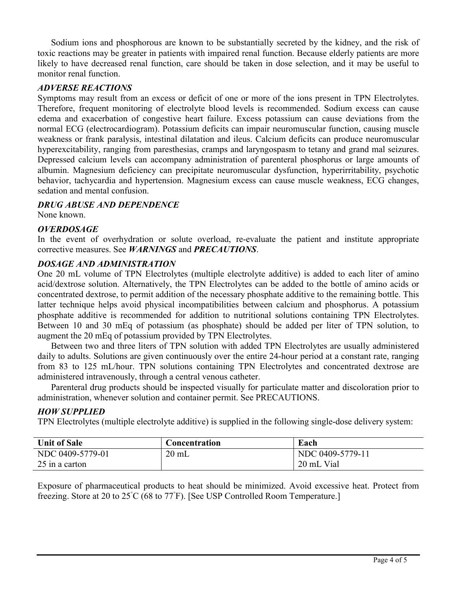Sodium ions and phosphorous are known to be substantially secreted by the kidney, and the risk of toxic reactions may be greater in patients with impaired renal function. Because elderly patients are more likely to have decreased renal function, care should be taken in dose selection, and it may be useful to monitor renal function.

## *ADVERSE REACTIONS*

Symptoms may result from an excess or deficit of one or more of the ions present in TPN Electrolytes. Therefore, frequent monitoring of electrolyte blood levels is recommended. Sodium excess can cause edema and exacerbation of congestive heart failure. Excess potassium can cause deviations from the normal ECG (electrocardiogram). Potassium deficits can impair neuromuscular function, causing muscle weakness or frank paralysis, intestinal dilatation and ileus. Calcium deficits can produce neuromuscular hyperexcitability, ranging from paresthesias, cramps and laryngospasm to tetany and grand mal seizures. Depressed calcium levels can accompany administration of parenteral phosphorus or large amounts of albumin. Magnesium deficiency can precipitate neuromuscular dysfunction, hyperirritability, psychotic behavior, tachycardia and hypertension. Magnesium excess can cause muscle weakness, ECG changes, sedation and mental confusion.

## *DRUG ABUSE AND DEPENDENCE*

None known.

## *OVERDOSAGE*

In the event of overhydration or solute overload, re-evaluate the patient and institute appropriate corrective measures. See *WARNINGS* and *PRECAUTIONS*.

# *DOSAGE AND ADMINISTRATION*

One 20 mL volume of TPN Electrolytes (multiple electrolyte additive) is added to each liter of amino acid/dextrose solution. Alternatively, the TPN Electrolytes can be added to the bottle of amino acids or concentrated dextrose, to permit addition of the necessary phosphate additive to the remaining bottle. This latter technique helps avoid physical incompatibilities between calcium and phosphorus. A potassium phosphate additive is recommended for addition to nutritional solutions containing TPN Electrolytes. Between 10 and 30 mEq of potassium (as phosphate) should be added per liter of TPN solution, to augment the 20 mEq of potassium provided by TPN Electrolytes.

Between two and three liters of TPN solution with added TPN Electrolytes are usually administered daily to adults. Solutions are given continuously over the entire 24-hour period at a constant rate, ranging from 83 to 125 mL/hour. TPN solutions containing TPN Electrolytes and concentrated dextrose are administered intravenously, through a central venous catheter.

Parenteral drug products should be inspected visually for particulate matter and discoloration prior to administration, whenever solution and container permit. See PRECAUTIONS.

# *HOW SUPPLIED*

TPN Electrolytes (multiple electrolyte additive) is supplied in the following single-dose delivery system:

| <b>Unit of Sale</b> | <b>Concentration</b> | Each             |
|---------------------|----------------------|------------------|
| NDC 0409-5779-01    | $20 \text{ mL}$      | NDC 0409-5779-11 |
| 25 in a carton      |                      | 20 mL Vial       |

Exposure of pharmaceutical products to heat should be minimized. Avoid excessive heat. Protect from freezing. Store at 20 to 25℃ (68 to 77°F). [See USP Controlled Room Temperature.]